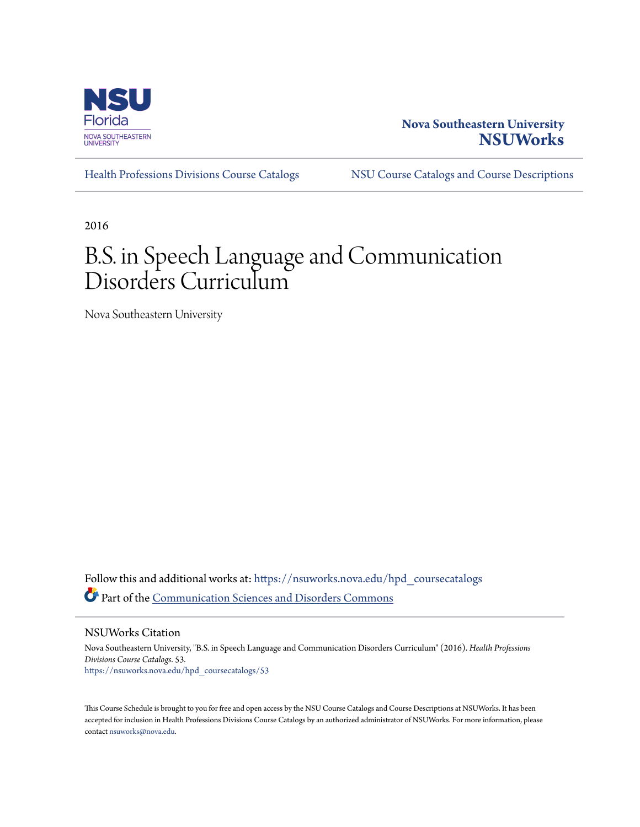

### **Nova Southeastern University [NSUWorks](https://nsuworks.nova.edu?utm_source=nsuworks.nova.edu%2Fhpd_coursecatalogs%2F53&utm_medium=PDF&utm_campaign=PDFCoverPages)**

[Health Professions Divisions Course Catalogs](https://nsuworks.nova.edu/hpd_coursecatalogs?utm_source=nsuworks.nova.edu%2Fhpd_coursecatalogs%2F53&utm_medium=PDF&utm_campaign=PDFCoverPages) [NSU Course Catalogs and Course Descriptions](https://nsuworks.nova.edu/nsu_catalogs?utm_source=nsuworks.nova.edu%2Fhpd_coursecatalogs%2F53&utm_medium=PDF&utm_campaign=PDFCoverPages)

2016

# B.S. in Speech Language and Communication Disorders Curriculum

Nova Southeastern University

Follow this and additional works at: [https://nsuworks.nova.edu/hpd\\_coursecatalogs](https://nsuworks.nova.edu/hpd_coursecatalogs?utm_source=nsuworks.nova.edu%2Fhpd_coursecatalogs%2F53&utm_medium=PDF&utm_campaign=PDFCoverPages) Part of the [Communication Sciences and Disorders Commons](http://network.bepress.com/hgg/discipline/1019?utm_source=nsuworks.nova.edu%2Fhpd_coursecatalogs%2F53&utm_medium=PDF&utm_campaign=PDFCoverPages)

NSUWorks Citation

Nova Southeastern University, "B.S. in Speech Language and Communication Disorders Curriculum" (2016). *Health Professions Divisions Course Catalogs*. 53. [https://nsuworks.nova.edu/hpd\\_coursecatalogs/53](https://nsuworks.nova.edu/hpd_coursecatalogs/53?utm_source=nsuworks.nova.edu%2Fhpd_coursecatalogs%2F53&utm_medium=PDF&utm_campaign=PDFCoverPages)

This Course Schedule is brought to you for free and open access by the NSU Course Catalogs and Course Descriptions at NSUWorks. It has been accepted for inclusion in Health Professions Divisions Course Catalogs by an authorized administrator of NSUWorks. For more information, please contact [nsuworks@nova.edu](mailto:nsuworks@nova.edu).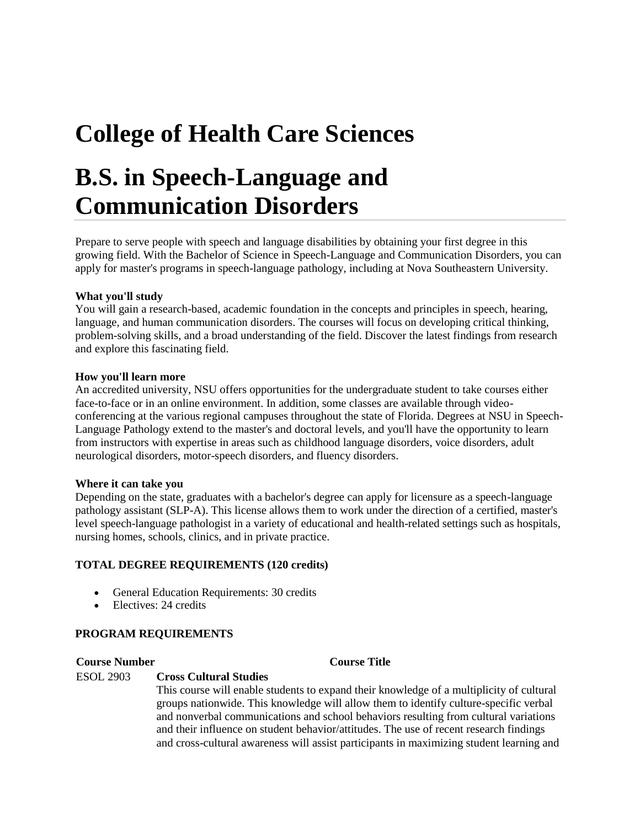# **College of Health Care Sciences**

## **B.S. in Speech-Language and Communication Disorders**

Prepare to serve people with speech and language disabilities by obtaining your first degree in this growing field. With the Bachelor of Science in Speech-Language and Communication Disorders, you can apply for master's programs in speech-language pathology, including at Nova Southeastern University.

### **What you'll study**

You will gain a research-based, academic foundation in the concepts and principles in speech, hearing, language, and human communication disorders. The courses will focus on developing critical thinking, problem-solving skills, and a broad understanding of the field. Discover the latest findings from research and explore this fascinating field.

#### **How you'll learn more**

An accredited university, NSU offers opportunities for the undergraduate student to take courses either face-to-face or in an online environment. In addition, some classes are available through videoconferencing at the various regional campuses throughout the state of Florida. Degrees at NSU in Speech-Language Pathology extend to the master's and doctoral levels, and you'll have the opportunity to learn from instructors with expertise in areas such as childhood language disorders, voice disorders, adult neurological disorders, motor-speech disorders, and fluency disorders.

#### **Where it can take you**

Depending on the state, graduates with a bachelor's degree can apply for licensure as a speech-language pathology assistant (SLP-A). This license allows them to work under the direction of a certified, master's level speech-language pathologist in a variety of educational and health-related settings such as hospitals, nursing homes, schools, clinics, and in private practice.

### **TOTAL DEGREE REQUIREMENTS (120 credits)**

- General Education Requirements: 30 credits
- Electives: 24 credits

### **PROGRAM REQUIREMENTS**

#### **Course Number Course Title**

#### ESOL 2903 **Cross Cultural Studies**

This course will enable students to expand their knowledge of a multiplicity of cultural groups nationwide. This knowledge will allow them to identify culture-specific verbal and nonverbal communications and school behaviors resulting from cultural variations and their influence on student behavior/attitudes. The use of recent research findings and cross-cultural awareness will assist participants in maximizing student learning and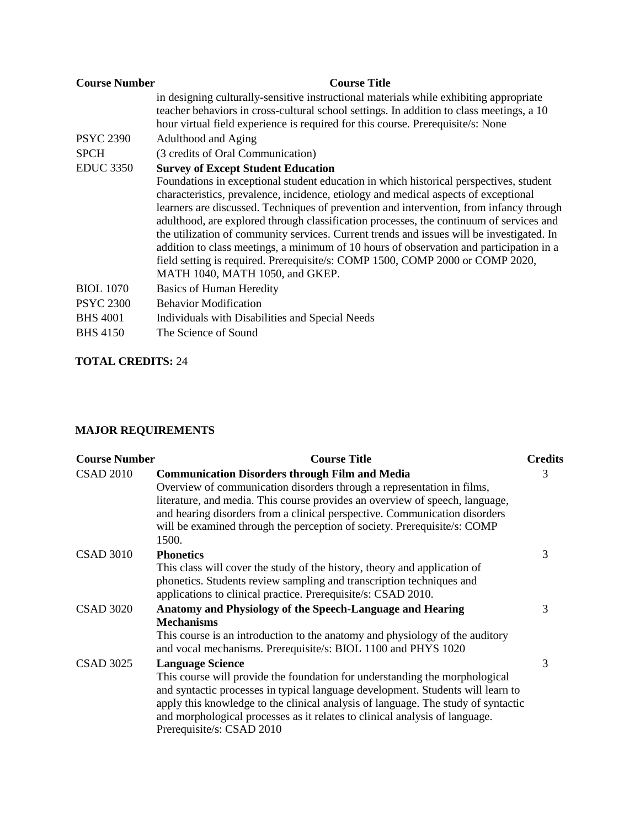| <b>Course Number</b> | <b>Course Title</b>                                                                                                                                                                |
|----------------------|------------------------------------------------------------------------------------------------------------------------------------------------------------------------------------|
|                      | in designing culturally-sensitive instructional materials while exhibiting appropriate<br>teacher behaviors in cross-cultural school settings. In addition to class meetings, a 10 |
|                      | hour virtual field experience is required for this course. Prerequisite/s: None                                                                                                    |
| <b>PSYC 2390</b>     | Adulthood and Aging                                                                                                                                                                |
| <b>SPCH</b>          | (3 credits of Oral Communication)                                                                                                                                                  |
| <b>EDUC 3350</b>     | <b>Survey of Except Student Education</b>                                                                                                                                          |
|                      | Foundations in exceptional student education in which historical perspectives, student                                                                                             |
|                      | characteristics, prevalence, incidence, etiology and medical aspects of exceptional                                                                                                |
|                      | learners are discussed. Techniques of prevention and intervention, from infancy through                                                                                            |
|                      | adulthood, are explored through classification processes, the continuum of services and                                                                                            |
|                      | the utilization of community services. Current trends and issues will be investigated. In                                                                                          |
|                      | addition to class meetings, a minimum of 10 hours of observation and participation in a                                                                                            |
|                      | field setting is required. Prerequisite/s: COMP 1500, COMP 2000 or COMP 2020,<br>MATH 1040, MATH 1050, and GKEP.                                                                   |
|                      |                                                                                                                                                                                    |
| <b>BIOL</b> 1070     | Basics of Human Heredity                                                                                                                                                           |
| <b>PSYC 2300</b>     | <b>Behavior Modification</b>                                                                                                                                                       |
| <b>BHS 4001</b>      | Individuals with Disabilities and Special Needs                                                                                                                                    |
| <b>BHS 4150</b>      | The Science of Sound                                                                                                                                                               |

**TOTAL CREDITS:** 24

### **MAJOR REQUIREMENTS**

| <b>Course Number</b> | <b>Course Title</b>                                                                                                                                                                                                                                                                                                                                                                        | <b>Credits</b> |
|----------------------|--------------------------------------------------------------------------------------------------------------------------------------------------------------------------------------------------------------------------------------------------------------------------------------------------------------------------------------------------------------------------------------------|----------------|
| <b>CSAD 2010</b>     | <b>Communication Disorders through Film and Media</b><br>Overview of communication disorders through a representation in films,<br>literature, and media. This course provides an overview of speech, language,<br>and hearing disorders from a clinical perspective. Communication disorders<br>will be examined through the perception of society. Prerequisite/s: COMP<br>1500.         | 3              |
| <b>CSAD 3010</b>     | <b>Phonetics</b><br>This class will cover the study of the history, theory and application of<br>phonetics. Students review sampling and transcription techniques and<br>applications to clinical practice. Prerequisite/s: CSAD 2010.                                                                                                                                                     | 3              |
| <b>CSAD 3020</b>     | Anatomy and Physiology of the Speech-Language and Hearing<br><b>Mechanisms</b><br>This course is an introduction to the anatomy and physiology of the auditory<br>and vocal mechanisms. Prerequisite/s: BIOL 1100 and PHYS 1020                                                                                                                                                            | 3              |
| <b>CSAD 3025</b>     | <b>Language Science</b><br>This course will provide the foundation for understanding the morphological<br>and syntactic processes in typical language development. Students will learn to<br>apply this knowledge to the clinical analysis of language. The study of syntactic<br>and morphological processes as it relates to clinical analysis of language.<br>Prerequisite/s: CSAD 2010 | 3              |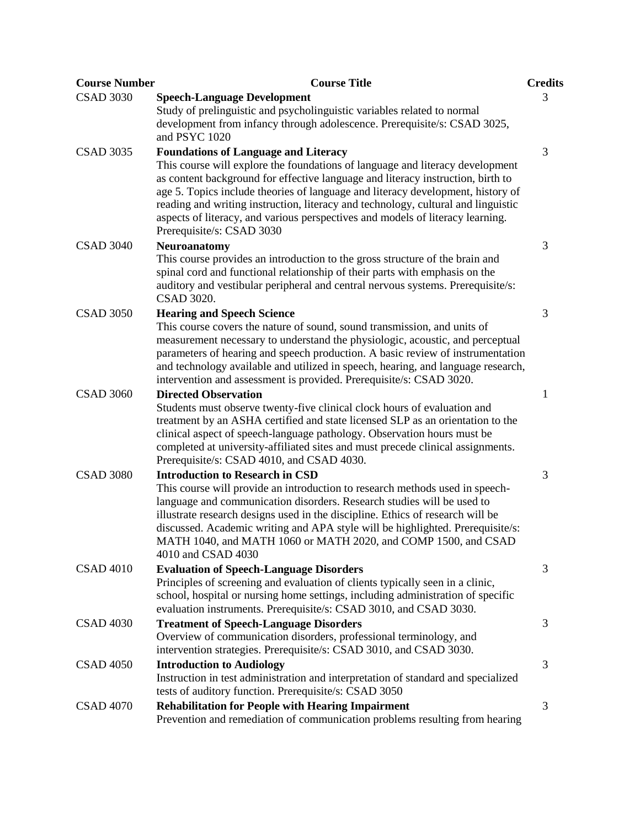| <b>Course Number</b> | <b>Course Title</b>                                                                                                                                                                                                                                                                                                                                                                                                                                                                                    | <b>Credits</b> |
|----------------------|--------------------------------------------------------------------------------------------------------------------------------------------------------------------------------------------------------------------------------------------------------------------------------------------------------------------------------------------------------------------------------------------------------------------------------------------------------------------------------------------------------|----------------|
| <b>CSAD 3030</b>     | <b>Speech-Language Development</b><br>Study of prelinguistic and psycholinguistic variables related to normal<br>development from infancy through adolescence. Prerequisite/s: CSAD 3025,<br>and PSYC 1020                                                                                                                                                                                                                                                                                             | 3              |
| <b>CSAD 3035</b>     | <b>Foundations of Language and Literacy</b><br>This course will explore the foundations of language and literacy development<br>as content background for effective language and literacy instruction, birth to<br>age 5. Topics include theories of language and literacy development, history of<br>reading and writing instruction, literacy and technology, cultural and linguistic<br>aspects of literacy, and various perspectives and models of literacy learning.<br>Prerequisite/s: CSAD 3030 | 3              |
| <b>CSAD 3040</b>     | <b>Neuroanatomy</b><br>This course provides an introduction to the gross structure of the brain and<br>spinal cord and functional relationship of their parts with emphasis on the<br>auditory and vestibular peripheral and central nervous systems. Prerequisite/s:<br><b>CSAD 3020.</b>                                                                                                                                                                                                             | 3              |
| <b>CSAD 3050</b>     | <b>Hearing and Speech Science</b><br>This course covers the nature of sound, sound transmission, and units of<br>measurement necessary to understand the physiologic, acoustic, and perceptual<br>parameters of hearing and speech production. A basic review of instrumentation<br>and technology available and utilized in speech, hearing, and language research,<br>intervention and assessment is provided. Prerequisite/s: CSAD 3020.                                                            | 3              |
| <b>CSAD 3060</b>     | <b>Directed Observation</b><br>Students must observe twenty-five clinical clock hours of evaluation and<br>treatment by an ASHA certified and state licensed SLP as an orientation to the<br>clinical aspect of speech-language pathology. Observation hours must be<br>completed at university-affiliated sites and must precede clinical assignments.<br>Prerequisite/s: CSAD 4010, and CSAD 4030.                                                                                                   | 1              |
| <b>CSAD 3080</b>     | <b>Introduction to Research in CSD</b><br>This course will provide an introduction to research methods used in speech-<br>language and communication disorders. Research studies will be used to<br>illustrate research designs used in the discipline. Ethics of research will be<br>discussed. Academic writing and APA style will be highlighted. Prerequisite/s:<br>MATH 1040, and MATH 1060 or MATH 2020, and COMP 1500, and CSAD<br>4010 and CSAD 4030                                           | 3              |
| <b>CSAD 4010</b>     | <b>Evaluation of Speech-Language Disorders</b><br>Principles of screening and evaluation of clients typically seen in a clinic,<br>school, hospital or nursing home settings, including administration of specific<br>evaluation instruments. Prerequisite/s: CSAD 3010, and CSAD 3030.                                                                                                                                                                                                                | 3              |
| <b>CSAD 4030</b>     | <b>Treatment of Speech-Language Disorders</b><br>Overview of communication disorders, professional terminology, and<br>intervention strategies. Prerequisite/s: CSAD 3010, and CSAD 3030.                                                                                                                                                                                                                                                                                                              | 3              |
| <b>CSAD 4050</b>     | <b>Introduction to Audiology</b><br>Instruction in test administration and interpretation of standard and specialized<br>tests of auditory function. Prerequisite/s: CSAD 3050                                                                                                                                                                                                                                                                                                                         | 3              |
| <b>CSAD 4070</b>     | <b>Rehabilitation for People with Hearing Impairment</b><br>Prevention and remediation of communication problems resulting from hearing                                                                                                                                                                                                                                                                                                                                                                | 3              |